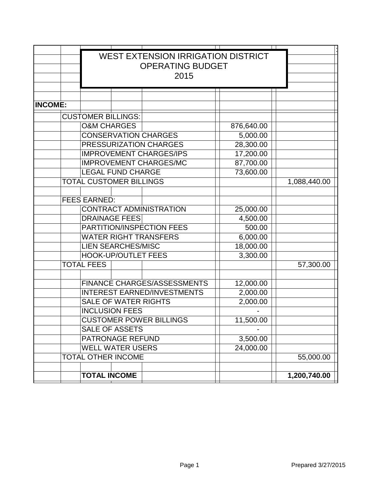|                | <b>WEST EXTENSION IRRIGATION DISTRICT</b> |                                |                                |           |            |  |              |
|----------------|-------------------------------------------|--------------------------------|--------------------------------|-----------|------------|--|--------------|
|                | <b>OPERATING BUDGET</b><br>2015           |                                |                                |           |            |  |              |
|                |                                           |                                |                                |           |            |  |              |
|                |                                           |                                |                                |           |            |  |              |
| <b>INCOME:</b> |                                           |                                |                                |           |            |  |              |
|                | <b>CUSTOMER BILLINGS:</b>                 |                                |                                |           |            |  |              |
|                | <b>O&amp;M CHARGES</b>                    |                                |                                |           | 876,640.00 |  |              |
|                |                                           |                                | <b>CONSERVATION CHARGES</b>    |           | 5,000.00   |  |              |
|                | PRESSURIZATION CHARGES                    |                                |                                |           | 28,300.00  |  |              |
|                |                                           | <b>IMPROVEMENT CHARGES/IPS</b> |                                | 17,200.00 |            |  |              |
|                |                                           |                                | <b>IMPROVEMENT CHARGES/MC</b>  |           | 87,700.00  |  |              |
|                |                                           | <b>LEGAL FUND CHARGE</b>       |                                |           | 73,600.00  |  |              |
|                | <b>TOTAL CUSTOMER BILLINGS</b>            |                                |                                |           |            |  | 1,088,440.00 |
|                |                                           |                                |                                |           |            |  |              |
|                | <b>FEES EARNED:</b>                       |                                |                                |           |            |  |              |
|                |                                           |                                | <b>CONTRACT ADMINISTRATION</b> |           | 25,000.00  |  |              |
|                | <b>DRAINAGE FEES</b>                      |                                |                                |           | 4,500.00   |  |              |
|                | PARTITION/INSPECTION FEES                 |                                |                                |           | 500.00     |  |              |
|                | <b>WATER RIGHT TRANSFERS</b>              |                                |                                |           | 6,000.00   |  |              |
|                | <b>LIEN SEARCHES/MISC</b>                 |                                |                                |           | 18,000.00  |  |              |
|                | <b>HOOK-UP/OUTLET FEES</b>                |                                |                                |           | 3,300.00   |  |              |
|                | <b>TOTAL FEES</b>                         |                                |                                |           |            |  | 57,300.00    |
|                |                                           |                                |                                |           |            |  |              |
|                | <b>FINANCE CHARGES/ASSESSMENTS</b>        |                                |                                |           | 12,000.00  |  |              |
|                | <b>INTEREST EARNED/INVESTMENTS</b>        |                                |                                |           | 2,000.00   |  |              |
|                |                                           | <b>SALE OF WATER RIGHTS</b>    |                                |           | 2,000.00   |  |              |
|                |                                           | <b>INCLUSION FEES</b>          |                                |           |            |  |              |
|                | <b>CUSTOMER POWER BILLINGS</b>            |                                |                                |           | 11,500.00  |  |              |
|                | <b>SALE OF ASSETS</b>                     |                                |                                |           |            |  |              |
|                | PATRONAGE REFUND                          |                                |                                |           | 3,500.00   |  |              |
|                | <b>WELL WATER USERS</b>                   |                                |                                |           | 24,000.00  |  |              |
|                | <b>TOTAL OTHER INCOME</b>                 |                                |                                |           |            |  | 55,000.00    |
|                | <b>TOTAL INCOME</b>                       |                                |                                |           |            |  | 1,200,740.00 |
|                |                                           |                                |                                |           |            |  |              |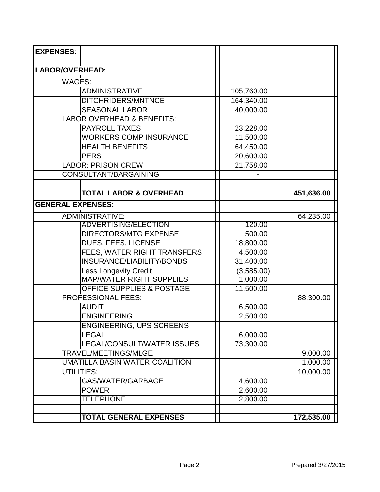| <b>EXPENSES:</b>         |                                       |  |                                 |  |            |            |
|--------------------------|---------------------------------------|--|---------------------------------|--|------------|------------|
|                          |                                       |  |                                 |  |            |            |
| <b>LABOR/OVERHEAD:</b>   |                                       |  |                                 |  |            |            |
| <b>WAGES:</b>            |                                       |  |                                 |  |            |            |
|                          | <b>ADMINISTRATIVE</b>                 |  |                                 |  | 105,760.00 |            |
|                          | DITCHRIDERS/MNTNCE                    |  |                                 |  | 164,340.00 |            |
|                          | <b>SEASONAL LABOR</b>                 |  |                                 |  | 40,000.00  |            |
|                          | <b>LABOR OVERHEAD &amp; BENEFITS:</b> |  |                                 |  |            |            |
|                          | <b>PAYROLL TAXES</b>                  |  |                                 |  | 23,228.00  |            |
|                          |                                       |  | <b>WORKERS COMP INSURANCE</b>   |  | 11,500.00  |            |
|                          | <b>HEALTH BENEFITS</b>                |  |                                 |  | 64,450.00  |            |
|                          | <b>PERS</b>                           |  |                                 |  | 20,600.00  |            |
|                          | <b>LABOR: PRISON CREW</b>             |  |                                 |  | 21,758.00  |            |
|                          | <b>CONSULTANT/BARGAINING</b>          |  |                                 |  |            |            |
|                          |                                       |  |                                 |  |            |            |
|                          | <b>TOTAL LABOR &amp; OVERHEAD</b>     |  |                                 |  |            | 451,636.00 |
| <b>GENERAL EXPENSES:</b> |                                       |  |                                 |  |            |            |
|                          | <b>ADMINISTRATIVE:</b>                |  |                                 |  |            | 64,235.00  |
|                          | <b>ADVERTISING/ELECTION</b>           |  |                                 |  | 120.00     |            |
|                          | <b>DIRECTORS/MTG EXPENSE</b>          |  |                                 |  | 500.00     |            |
|                          | DUES, FEES, LICENSE                   |  |                                 |  | 18,800.00  |            |
|                          | FEES, WATER RIGHT TRANSFERS           |  |                                 |  | 4,500.00   |            |
|                          | INSURANCE/LIABILITY/BONDS             |  |                                 |  | 31,400.00  |            |
|                          | <b>Less Longevity Credit</b>          |  |                                 |  | (3,585.00) |            |
|                          | <b>MAP/WATER RIGHT SUPPLIES</b>       |  |                                 |  | 1,000.00   |            |
|                          | <b>OFFICE SUPPLIES &amp; POSTAGE</b>  |  |                                 |  | 11,500.00  |            |
|                          | <b>PROFESSIONAL FEES:</b>             |  |                                 |  |            | 88,300.00  |
|                          | <b>AUDIT</b>                          |  |                                 |  | 6,500.00   |            |
|                          | <b>ENGINEERING</b>                    |  |                                 |  | 2,500.00   |            |
|                          |                                       |  | <b>ENGINEERING, UPS SCREENS</b> |  |            |            |
|                          | <b>LEGAL</b>                          |  |                                 |  | 6,000.00   |            |
|                          |                                       |  | LEGAL/CONSULT/WATER ISSUES      |  | 73,300.00  |            |
|                          | TRAVEL/MEETINGS/MLGE                  |  |                                 |  | 9,000.00   |            |
|                          | UMATILLA BASIN WATER COALITION        |  |                                 |  |            | 1,000.00   |
|                          | <b>UTILITIES:</b>                     |  |                                 |  |            | 10,000.00  |
|                          | GAS/WATER/GARBAGE                     |  |                                 |  | 4,600.00   |            |
|                          | <b>POWER</b>                          |  |                                 |  | 2,600.00   |            |
|                          | <b>TELEPHONE</b>                      |  |                                 |  | 2,800.00   |            |
|                          |                                       |  |                                 |  |            |            |
|                          | <b>TOTAL GENERAL EXPENSES</b>         |  |                                 |  |            | 172,535.00 |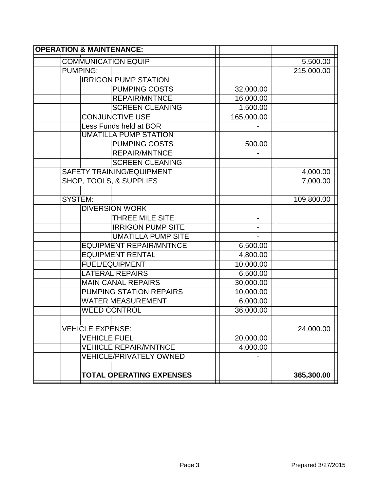| <b>OPERATION &amp; MAINTENANCE:</b> |                                  |                          |            |  |  |  |  |
|-------------------------------------|----------------------------------|--------------------------|------------|--|--|--|--|
| <b>COMMUNICATION EQUIP</b>          |                                  |                          | 5,500.00   |  |  |  |  |
| <b>PUMPING:</b>                     |                                  |                          | 215,000.00 |  |  |  |  |
|                                     | <b>IRRIGON PUMP STATION</b>      |                          |            |  |  |  |  |
|                                     | <b>PUMPING COSTS</b>             | 32,000.00                |            |  |  |  |  |
|                                     | <b>REPAIR/MNTNCE</b>             | 16,000.00                |            |  |  |  |  |
|                                     | <b>SCREEN CLEANING</b>           | 1,500.00                 |            |  |  |  |  |
|                                     | <b>CONJUNCTIVE USE</b>           | 165,000.00               |            |  |  |  |  |
|                                     | Less Funds held at BOR           |                          |            |  |  |  |  |
|                                     | <b>UMATILLA PUMP STATION</b>     |                          |            |  |  |  |  |
|                                     | <b>PUMPING COSTS</b>             | 500.00                   |            |  |  |  |  |
|                                     | <b>REPAIR/MNTNCE</b>             |                          |            |  |  |  |  |
|                                     | <b>SCREEN CLEANING</b>           |                          |            |  |  |  |  |
|                                     | <b>SAFETY TRAINING/EQUIPMENT</b> |                          | 4,000.00   |  |  |  |  |
| <b>SHOP, TOOLS, &amp; SUPPLIES</b>  |                                  |                          | 7,000.00   |  |  |  |  |
|                                     |                                  |                          |            |  |  |  |  |
| <b>SYSTEM:</b>                      |                                  |                          | 109,800.00 |  |  |  |  |
|                                     | <b>DIVERSION WORK</b>            |                          |            |  |  |  |  |
|                                     | <b>THREE MILE SITE</b>           | $\overline{\phantom{0}}$ |            |  |  |  |  |
|                                     | <b>IRRIGON PUMP SITE</b>         |                          |            |  |  |  |  |
|                                     | <b>UMATILLA PUMP SITE</b>        |                          |            |  |  |  |  |
|                                     | <b>EQUIPMENT REPAIR/MNTNCE</b>   | 6,500.00                 |            |  |  |  |  |
|                                     | <b>EQUIPMENT RENTAL</b>          | 4,800.00                 |            |  |  |  |  |
|                                     | <b>FUEL/EQUIPMENT</b>            | 10,000.00                |            |  |  |  |  |
|                                     | <b>LATERAL REPAIRS</b>           | 6,500.00                 |            |  |  |  |  |
|                                     | <b>MAIN CANAL REPAIRS</b>        | 30,000.00                |            |  |  |  |  |
|                                     | <b>PUMPING STATION REPAIRS</b>   | 10,000.00                |            |  |  |  |  |
|                                     | <b>WATER MEASUREMENT</b>         | 6,000.00                 |            |  |  |  |  |
| <b>WEED CONTROL</b>                 |                                  | 36,000.00                |            |  |  |  |  |
|                                     |                                  |                          |            |  |  |  |  |
| <b>VEHICLE EXPENSE:</b>             |                                  |                          | 24,000.00  |  |  |  |  |
| <b>VEHICLE FUEL</b>                 |                                  | 20,000.00                |            |  |  |  |  |
|                                     | <b>VEHICLE REPAIR/MNTNCE</b>     | 4,000.00                 |            |  |  |  |  |
|                                     | <b>VEHICLE/PRIVATELY OWNED</b>   |                          |            |  |  |  |  |
|                                     |                                  |                          |            |  |  |  |  |
|                                     | <b>TOTAL OPERATING EXPENSES</b>  |                          | 365,300.00 |  |  |  |  |